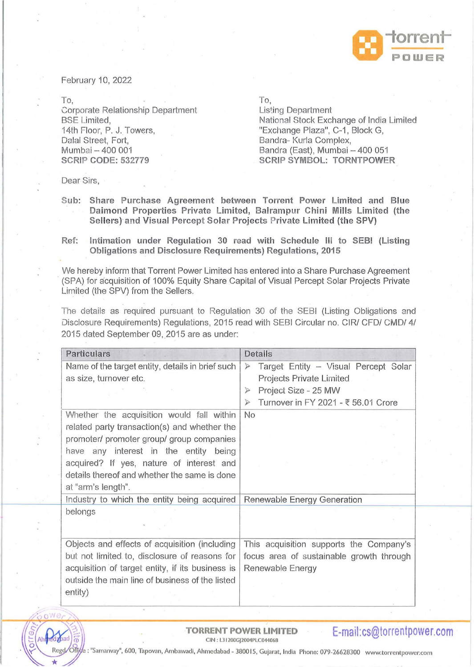

February 10, 2022

To,

Corporate Relationship Department BSE Limited, 14th Floor, P. J. Towers, Dalal Street, Fort, Mumbai - 400 001 **SCRIP CODE: 532779** 

To,

Listing Department National Stock Exchange of India Limited "Exchange Plaza", C-1, Block G, Bandra- Kurla Complex, Bandra (East), Mumbai - 400 051 **SCRIP SYMBOL: TORNTPOWER** 

Dear Sirs,

- **Sub: Share Purchase Agreement between Torrent Power Limited and Blue Daimond Properties Private Limited, Balrampur Chini Mills Limited (the Sellers)· and Visual Percept Solar Projects Private Limited (the SPV)**
- **Ref: Intimation under Regulation 30 read with Schedule Ill to SEBI (Listing Obligations and Disclosure Requirements) Regulations, 201 5**

We hereby inform that Torrent Power Limited has entered into a Share Purchase Agreement · (SPA) for acquisition of 100% Equity Share Capital of Visual Percept Solar Projects Private Limited (the SPV) from the Sellers.

The details as required pursuant to Regulation 30 of the SEBI (Listing Obligations and Disclosure Requirements) Regulations, 2015 read with SEBI Circular no. CIR/ CFO/ CMD/ 4/ 2015 dated September 09, 2015 are as under:

| <b>Particulars</b>                               | Details                                                  |  |
|--------------------------------------------------|----------------------------------------------------------|--|
| Name of the target entity, details in brief such | Target Entity - Visual Percept Solar<br>$\triangleright$ |  |
| as size, turnover etc.                           | Projects Private Limited                                 |  |
|                                                  | Project Size - 25 MW                                     |  |
|                                                  | Turnover in FY 2021 - ₹ 56.01 Crore                      |  |
| Whether the acquisition would fall within        | No                                                       |  |
| related party transaction(s) and whether the     |                                                          |  |
| promoter/ promoter group/ group companies        |                                                          |  |
| have any interest in the entity being            |                                                          |  |
| acquired? If yes, nature of interest and         |                                                          |  |
| details thereof and whether the same is done     |                                                          |  |
| at "arm's length".                               |                                                          |  |
| Industry to which the entity being acquired      | Renewable Energy Generation                              |  |
| belongs                                          |                                                          |  |
|                                                  |                                                          |  |
|                                                  |                                                          |  |
| Objects and effects of acquisition (including    | This acquisition supports the Company's                  |  |
| but not limited to, disclosure of reasons for    | focus area of sustainable growth through                 |  |
| acquisition of target entity, if its business is | Renewable Energy                                         |  |
| outside the main line of business of the listed  |                                                          |  |
| entity)                                          |                                                          |  |



TORRENT POWER LIMITED **E-mail:cs@torrentpower.com** -

: "Samanvay", 600, Tapovan, Ambawadi, Ahmedabad - 380015, Gujarat, India Phone: 079-26628300 www.torrentpower.com